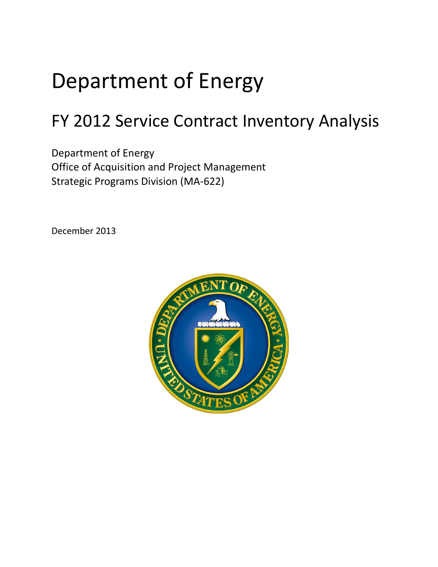# Department of Energy

## FY 2012 Service Contract Inventory Analysis

Office of Acquisition and Project Management<br>Strategic Programs Division (MA-622) Department of Energy

December 2013

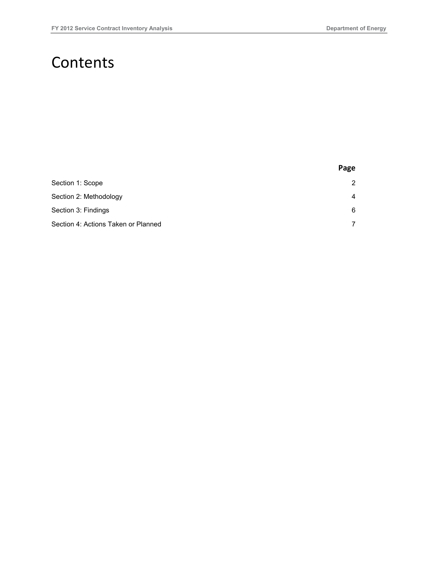### **Contents**

|                                     | Page |
|-------------------------------------|------|
| Section 1: Scope                    | 2    |
| Section 2: Methodology              | 4    |
| Section 3: Findings                 | 6    |
| Section 4: Actions Taken or Planned | 7    |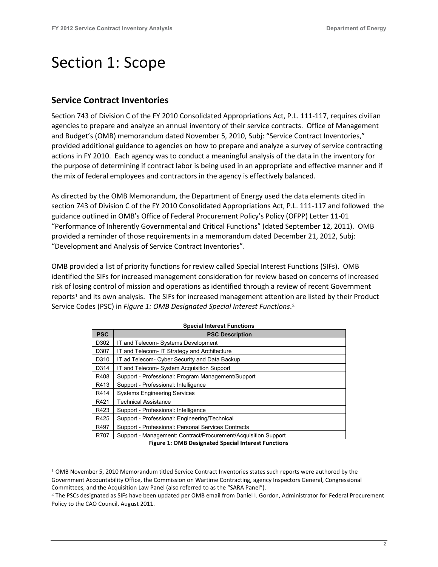### <span id="page-2-0"></span>Section 1: Scope

#### **Service Contract Inventories**

-

 agencies to prepare and analyze an annual inventory of their service contracts. Office of Management provided additional guidance to agencies on how to prepare and analyze a survey of service contracting actions in FY 2010. Each agency was to conduct a meaningful analysis of the data in the inventory for the mix of federal employees and contractors in the agency is effectively balanced. Section 743 of Division C of the FY 2010 Consolidated Appropriations Act, P.L. 111-117, requires civilian and Budget's (OMB) memorandum dated November 5, 2010, Subj: "Service Contract Inventories," the purpose of determining if contract labor is being used in an appropriate and effective manner and if

 As directed by the OMB Memorandum, the Department of Energy used the data elements cited in section 743 of Division C of the FY 2010 Consolidated Appropriations Act, P.L. 111-117 and followed the guidance outlined in OMB's Office of Federal Procurement Policy's Policy (OFPP) Letter 11-01 "Performance of Inherently Governmental and Critical Functions" (dated September 12, 2011). OMB provided a reminder of those requirements in a memorandum dated December 21, 2012, Subj: "Development and Analysis of Service Contract Inventories".

 Service Codes (PSC) in *Figure 1: OMB Designated Special Interest Functions*.[2](#page-2-2)  OMB provided a list of priority functions for review called Special Interest Functions (SIFs). OMB identified the SIFs for increased management consideration for review based on concerns of increased risk of losing control of mission and operations as identified through a review of recent Government reports<sup>1</sup> and its own analysis. The SIFs for increased management attention are listed by their Product

| <b>PSC</b> | <b>PSC Description</b>                                         |
|------------|----------------------------------------------------------------|
| D302       | IT and Telecom- Systems Development                            |
| D307       | IT and Telecom- IT Strategy and Architecture                   |
| D310       | IT ad Telecom- Cyber Security and Data Backup                  |
| D314       | IT and Telecom- System Acquisition Support                     |
| R408       | Support - Professional: Program Management/Support             |
| R413       | Support - Professional: Intelligence                           |
| R414       | <b>Systems Engineering Services</b>                            |
| R421       | <b>Technical Assistance</b>                                    |
| R423       | Support - Professional: Intelligence                           |
| R425       | Support - Professional: Engineering/Technical                  |
| R497       | Support - Professional: Personal Services Contracts            |
| R707       | Support - Management: Contract/Procurement/Acquisition Support |

**Figure 1: OMB Designated Special Interest Functions** 

<span id="page-2-1"></span><sup>&</sup>lt;sup>1</sup> OMB November 5, 2010 Memorandum titled Service Contract Inventories states such reports were authored by the Committees, and the Acquisition Law Panel (also referred to as the "SARA Panel"). Government Accountability Office, the Commission on Wartime Contracting, agency Inspectors General, Congressional

<span id="page-2-2"></span><sup>&</sup>lt;sup>2</sup> The PSCs designated as SIFs have been updated per OMB email from Daniel I. Gordon, Administrator for Federal Procurement Policy to the CAO Council, August 2011.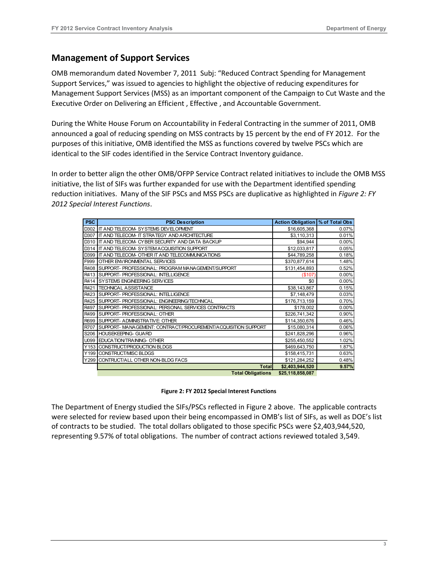#### **Management of Support Services**

 OMB memorandum dated November 7, 2011 Subj: "Reduced Contract Spending for Management Executive Order on Delivering an Efficient , Effective , and Accountable Government. Support Services," was issued to agencies to highlight the objective of reducing expenditures for Management Support Services (MSS) as an important component of the Campaign to Cut Waste and the

During the White House Forum on Accountability in Federal Contracting in the summer of 2011, OMB announced a goal of reducing spending on MSS contracts by 15 percent by the end of FY 2012. For the purposes of this initiative, OMB identified the MSS as functions covered by twelve PSCs which are identical to the SIF codes identified in the Service Contract Inventory guidance.

 In order to better align the other OMB/OFPP Service Contract related initiatives to include the OMB MSS initiative, the list of SIFs was further expanded for use with the Department identified spending reduction initiatives. Many of the SIF PSCs and MSS PSCs are duplicative as highlighted in *Figure 2: FY 2012 Special Interest Functions*.

| <b>PSC</b> | <b>PSC Description</b>                                             | Action Obligation   % of Total Obs |          |  |  |  |
|------------|--------------------------------------------------------------------|------------------------------------|----------|--|--|--|
| D302       | \$16,605,368<br><b>IT AND TELECOM- SYSTEMS DEVELOPMENT</b>         |                                    |          |  |  |  |
| D307       | \$3,110,313<br><b>IT AND TELECOM- IT STRATEGY AND ARCHITECTURE</b> |                                    |          |  |  |  |
| D310       | IT AND TELECOM- CYBER SECURITY AND DATA BACKUP                     | \$94,944                           | 0.00%    |  |  |  |
|            | D314 IT AND TELECOM-SYSTEM ACQUISITION SUPPORT                     | \$12,033,817                       | 0.05%    |  |  |  |
|            | D399 IT AND TELECOM- OTHER IT AND TELECOMMUNICATIONS               | \$44,789,258                       | 0.18%    |  |  |  |
| F999       | OTHER ENVIRONMENTAL SERVICES                                       | \$370,877,614                      | 1.48%    |  |  |  |
|            | R408 SUPPORT- PROFESSIONAL: PROGRAM MANAGEMENT/SUPPORT             | \$131,454,893                      | 0.52%    |  |  |  |
| R413       | <b>ISUPPORT-PROFESSIONAL: INTELLIGENCE</b>                         | (\$107)                            | $0.00\%$ |  |  |  |
|            | R414 SYSTEMS ENGINEERING SERVICES                                  | \$0                                | 0.00%    |  |  |  |
| R421       | <b>TECHNICAL ASSISTANCE</b>                                        | \$38,143,867                       | 0.15%    |  |  |  |
|            | R423 SUPPORT- PROFESSIONAL: INTELLIGENCE<br>\$7,148,479            |                                    |          |  |  |  |
|            | R425 SUPPORT- PROFESSIONAL: ENGINEERING/TECHNICAL<br>\$176,713,159 |                                    |          |  |  |  |
| R497       | <b>ISUPPORT-PROFESSIONAL: PERSONAL SERVICES CONTRACTS</b>          | \$178,002                          | 0.00%    |  |  |  |
|            | R499 SUPPORT- PROFESSIONAL: OTHER                                  | \$226,741,342                      | 0.90%    |  |  |  |
|            | R699 SUPPORT- ADMINISTRATIVE: OTHER                                | \$114,350,676                      | 0.46%    |  |  |  |
| R707       | SUPPORT- MANAGEMENT: CONTRACT/PROCUREMENT/ACQUISITION SUPPORT      | \$15,080,314                       | 0.06%    |  |  |  |
| S206       | <b>HOUSEKEEPING- GUARD</b>                                         | \$241,828,296                      | 0.96%    |  |  |  |
|            | U099 EDUCATION/TRAINING-OTHER                                      | \$255,450,552                      | 1.02%    |  |  |  |
| Y153       | CONSTRUCT/PRODUCTION BLDGS                                         | \$469,643,750                      | 1.87%    |  |  |  |
|            | Y199 CONSTRUCT/MISC BLDGS                                          | \$158,415,731                      | 0.63%    |  |  |  |
|            | Y299 CONTRUCT/ALL OTHER NON-BLDG FACS                              | \$121,284,252                      | 0.48%    |  |  |  |
|            | <b>Total</b>                                                       | \$2,403,944,520                    | 9.57%    |  |  |  |
|            | <b>Total Obligations</b><br>\$25,118,858,087                       |                                    |          |  |  |  |

|  |  |  | Figure 2: FY 2012 Special Interest Functions |
|--|--|--|----------------------------------------------|
|  |  |  |                                              |

 were selected for review based upon their being encompassed in OMB's list of SIFs, as well as DOE's list of contracts to be studied. The total dollars obligated to those specific PSCs were \$2,403,944,520, The Department of Energy studied the SIFs/PSCs reflected in Figure 2 above. The applicable contracts representing 9.57% of total obligations. The number of contract actions reviewed totaled 3,549.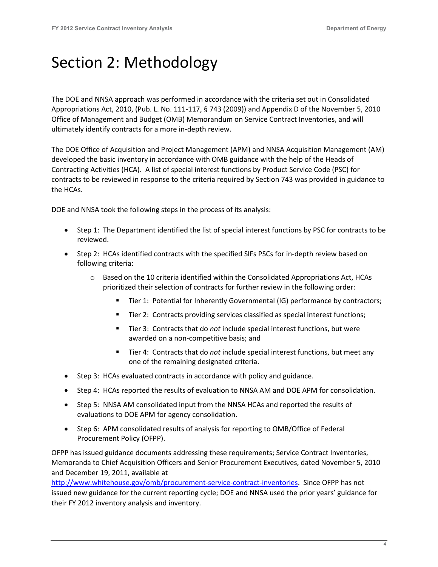### <span id="page-4-0"></span>Section 2: Methodology

 The DOE and NNSA approach was performed in accordance with the criteria set out in Consolidated Appropriations Act, 2010, (Pub. L. No. 111-117, § 743 (2009)) and Appendix D of the November 5, 2010 Office of Management and Budget (OMB) Memorandum on Service Contract Inventories, and will ultimately identify contracts for a more in-depth review.

 The DOE Office of Acquisition and Project Management (APM) and NNSA Acquisition Management (AM) developed the basic inventory in accordance with OMB guidance with the help of the Heads of Contracting Activities (HCA). A list of special interest functions by Product Service Code (PSC) for contracts to be reviewed in response to the criteria required by Section 743 was provided in guidance to the HCAs.

DOE and NNSA took the following steps in the process of its analysis:

- • Step 1: The Department identified the list of special interest functions by PSC for contracts to be reviewed.
- • Step 2: HCAs identified contracts with the specified SIFs PSCs for in-depth review based on following criteria:
	- prioritized their selection of contracts for further review in the following order: Based on the 10 criteria identified within the Consolidated Appropriations Act, HCAs
		- Tier 1: Potential for Inherently Governmental (IG) performance by contractors;
		- Tier 2: Contracts providing services classified as special interest functions;
		- Tier 3: Contracts that do *not* include special interest functions, but were awarded on a non-competitive basis; and
		- Tier 4: Contracts that do *not* include special interest functions, but meet any one of the remaining designated criteria.
- Step 3: HCAs evaluated contracts in accordance with policy and guidance.
- Step 4: HCAs reported the results of evaluation to NNSA AM and DOE APM for consolidation.
- • Step 5: NNSA AM consolidated input from the NNSA HCAs and reported the results of evaluations to DOE APM for agency consolidation.
- • Step 6: APM consolidated results of analysis for reporting to OMB/Office of Federal Procurement Policy (OFPP).

 Memoranda to Chief Acquisition Officers and Senior Procurement Executives, dated November 5, 2010 OFPP has issued guidance documents addressing these requirements; Service Contract Inventories, and December 19, 2011, available at

 their FY 2012 inventory analysis and inventory. [http://www.whitehouse.gov/omb/procurement-service-contract-inventories.](https://www.whitehouse.gov/omb/management/office-federal-procurement-policy/#memoranda) Since OFPP has not issued new guidance for the current reporting cycle; DOE and NNSA used the prior years' guidance for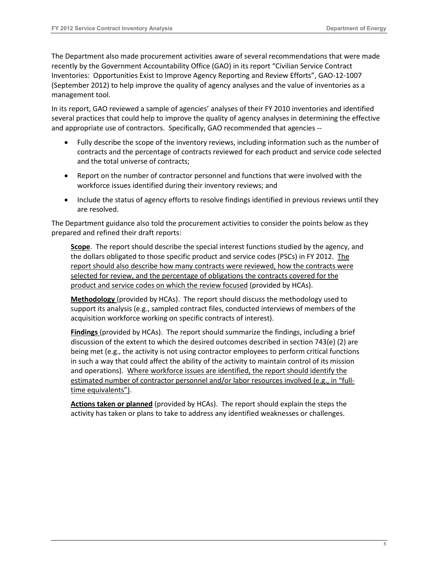Inventories: [Opportunities Exist to Improve Agency Reporting and Review Efforts", GAO-12-1007](http://www.gao.gov/assets/650/648939.pdf)  [\(September 2012\)](http://www.gao.gov/assets/650/648939.pdf) to help improve the quality of agency analyses and the value of inventories as a management tool. The Department also made procurement activities aware of several recommendations that were made recently by the Government Accountability Office (GAO) in its report "Civilian Service Contract

 and appropriate use of contractors. Specifically, GAO recommended that agencies -- In its report, GAO reviewed a sample of agencies' analyses of their FY 2010 inventories and identified several practices that could help to improve the quality of agency analyses in determining the effective

- • Fully describe the scope of the inventory reviews, including information such as the number of contracts and the percentage of contracts reviewed for each product and service code selected and the total universe of contracts;
- • Report on the number of contractor personnel and functions that were involved with the workforce issues identified during their inventory reviews; and
- Include the status of agency efforts to resolve findings identified in previous reviews until they are resolved.

 The Department guidance also told the procurement activities to consider the points below as they prepared and refined their draft reports:

 report should also describe how many contracts were reviewed, how the contracts were product and service codes on which the review focused (provided by HCAs). **Scope**. The report should describe the special interest functions studied by the agency, and the dollars obligated to those specific product and service codes (PSCs) in FY 2012. The selected for review, and the percentage of obligations the contracts covered for the

 acquisition workforce working on specific contracts of interest). **Methodology** (provided by HCAs). The report should discuss the methodology used to support its analysis (e.g., sampled contract files, conducted interviews of members of the

 discussion of the extent to which the desired outcomes described in section 743(e) (2) are being met (e.g., the activity is not using contractor employees to perform critical functions in such a way that could affect the ability of the activity to maintain control of its mission and operations). Where workforce issues are identified, the report should identify the **Findings** (provided by HCAs). The report should summarize the findings, including a brief estimated number of contractor personnel and/or labor resources involved (e.g., in "fulltime equivalents").

 **Actions taken or planned** (provided by HCAs). The report should explain the steps the activity has taken or plans to take to address any identified weaknesses or challenges.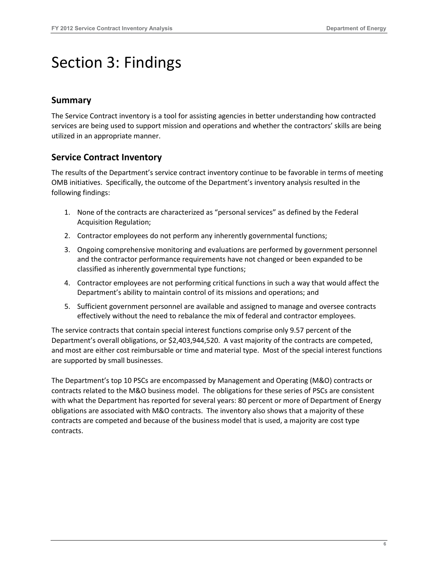### <span id="page-6-0"></span>Section 3: Findings

#### **Summary**

The Service Contract inventory is a tool for assisting agencies in better understanding how contracted services are being used to support mission and operations and whether the contractors' skills are being utilized in an appropriate manner.

#### **Service Contract Inventory**

 OMB initiatives. Specifically, the outcome of the Department's inventory analysis resulted in the The results of the Department's service contract inventory continue to be favorable in terms of meeting following findings:

- 1. None of the contracts are characterized as "personal services" as defined by the Federal Acquisition Regulation;
- 2. Contractor employees do not perform any inherently governmental functions;
- 3. Ongoing comprehensive monitoring and evaluations are performed by government personnel and the contractor performance requirements have not changed or been expanded to be classified as inherently governmental type functions;
- 4. Contractor employees are not performing critical functions in such a way that would affect the Department's ability to maintain control of its missions and operations; and
- 5. Sufficient government personnel are available and assigned to manage and oversee contracts effectively without the need to rebalance the mix of federal and contractor employees.

 The service contracts that contain special interest functions comprise only 9.57 percent of the Department's overall obligations, or \$2,403,944,520. A vast majority of the contracts are competed, and most are either cost reimbursable or time and material type. Most of the special interest functions are supported by small businesses.

 The Department's top 10 PSCs are encompassed by Management and Operating (M&O) contracts or obligations are associated with M&O contracts. The inventory also shows that a majority of these contracts related to the M&O business model. The obligations for these series of PSCs are consistent with what the Department has reported for several years: 80 percent or more of Department of Energy contracts are competed and because of the business model that is used, a majority are cost type contracts.